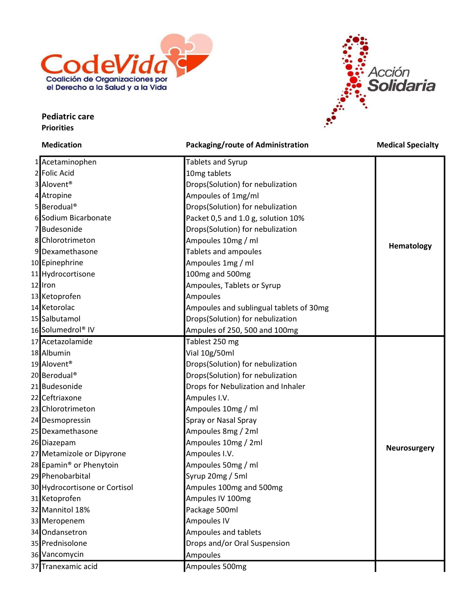

## Pediatric care **Priorities**



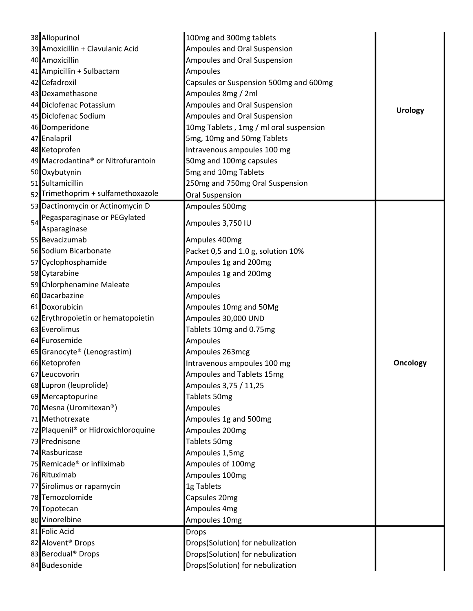|    | 38 Allopurinol                                  | 100mg and 300mg tablets                |                 |
|----|-------------------------------------------------|----------------------------------------|-----------------|
|    | 39 Amoxicillin + Clavulanic Acid                | Ampoules and Oral Suspension           |                 |
|    | 40 Amoxicillin                                  | Ampoules and Oral Suspension           |                 |
|    | 41 Ampicillin + Sulbactam                       | Ampoules                               |                 |
|    | 42 Cefadroxil                                   | Capsules or Suspension 500mg and 600mg |                 |
|    | 43 Dexamethasone                                | Ampoules 8mg / 2ml                     |                 |
|    | 44 Diclofenac Potassium                         | Ampoules and Oral Suspension           |                 |
|    | 45 Diclofenac Sodium                            | Ampoules and Oral Suspension           | <b>Urology</b>  |
|    | 46 Domperidone                                  | 10mg Tablets, 1mg / ml oral suspension |                 |
|    | 47 Enalapril                                    | 5mg, 10mg and 50mg Tablets             |                 |
|    | 48 Ketoprofen                                   | Intravenous ampoules 100 mg            |                 |
|    | 49 Macrodantina® or Nitrofurantoin              | 50mg and 100mg capsules                |                 |
|    | 50 Oxybutynin                                   | 5mg and 10mg Tablets                   |                 |
|    | 51 Sultamicillin                                | 250mg and 750mg Oral Suspension        |                 |
|    | 52 Trimethoprim + sulfamethoxazole              | Oral Suspension                        |                 |
|    | 53 Dactinomycin or Actinomycin D                | Ampoules 500mg                         |                 |
|    | Pegasparaginase or PEGylated                    |                                        |                 |
| 54 | Asparaginase                                    | Ampoules 3,750 IU                      |                 |
|    | 55 Bevacizumab                                  | Ampules 400mg                          |                 |
|    | 56 Sodium Bicarbonate                           | Packet 0,5 and 1.0 g, solution 10%     |                 |
|    |                                                 |                                        |                 |
|    | 57 Cyclophosphamide                             | Ampoules 1g and 200mg                  |                 |
|    | 58 Cytarabine                                   | Ampoules 1g and 200mg                  |                 |
|    | 59 Chlorphenamine Maleate                       | Ampoules                               |                 |
|    | 60 Dacarbazine                                  | Ampoules                               |                 |
|    | 61 Doxorubicin                                  | Ampoules 10mg and 50Mg                 |                 |
|    | 62 Erythropoietin or hematopoietin              | Ampoules 30,000 UND                    |                 |
|    | 63 Everolimus                                   | Tablets 10mg and 0.75mg                |                 |
|    | 64 Furosemide                                   | Ampoules                               |                 |
|    | 65 Granocyte® (Lenograstim)                     | Ampoules 263mcg                        |                 |
|    | 66 Ketoprofen                                   | Intravenous ampoules 100 mg            | <b>Oncology</b> |
|    | 67 Leucovorin                                   | Ampoules and Tablets 15mg              |                 |
|    | 68 Lupron (leuprolide)                          | Ampoules 3,75 / 11,25                  |                 |
|    | 69 Mercaptopurine                               | Tablets 50mg                           |                 |
|    | 70 Mesna (Uromitexan®)                          | Ampoules                               |                 |
|    | 71 Methotrexate                                 | Ampoules 1g and 500mg                  |                 |
|    | 72 Plaquenil <sup>®</sup> or Hidroxichloroquine | Ampoules 200mg                         |                 |
|    | 73 Prednisone                                   | Tablets 50mg                           |                 |
|    | 74 Rasburicase                                  | Ampoules 1,5mg                         |                 |
|    | 75 Remicade <sup>®</sup> or infliximab          | Ampoules of 100mg                      |                 |
|    | 76 Rituximab                                    | Ampoules 100mg                         |                 |
|    | 77 Sirolimus or rapamycin                       | 1g Tablets                             |                 |
|    | 78 Temozolomide                                 | Capsules 20mg                          |                 |
|    | 79 Topotecan                                    | Ampoules 4mg                           |                 |
|    | 80 Vinorelbine                                  | Ampoules 10mg                          |                 |
|    | 81 Folic Acid                                   | <b>Drops</b>                           |                 |
|    | 82 Alovent <sup>®</sup> Drops                   | Drops(Solution) for nebulization       |                 |
|    | 83 Berodual <sup>®</sup> Drops                  | Drops(Solution) for nebulization       |                 |
|    | 84 Budesonide                                   | Drops(Solution) for nebulization       |                 |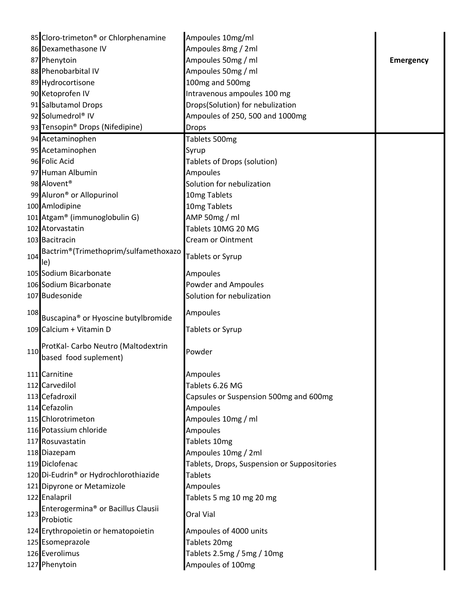| 85 Cloro-trimeton <sup>®</sup> or Chlorphenamine<br>86 Dexamethasone IV<br>Ampoules 8mg / 2ml<br>87 Phenytoin<br>Ampoules 50mg / ml<br><b>Emergency</b><br>88 Phenobarbital IV<br>Ampoules 50mg / ml<br>89 Hydrocortisone<br>100mg and 500mg<br>90 Ketoprofen IV<br>Intravenous ampoules 100 mg<br>91 Salbutamol Drops<br>Drops(Solution) for nebulization<br>92 Solumedrol® IV<br>Ampoules of 250, 500 and 1000mg<br>93 Tensopin <sup>®</sup> Drops (Nifedipine)<br><b>Drops</b><br>94 Acetaminophen<br>Tablets 500mg<br>95 Acetaminophen<br>Syrup<br>96 Folic Acid<br>Tablets of Drops (solution)<br>97 Human Albumin<br><b>Ampoules</b><br>98 Alovent <sup>®</sup><br>Solution for nebulization<br>99 Aluron <sup>®</sup> or Allopurinol<br>10mg Tablets<br>100 Amlodipine<br>10mg Tablets<br>101 Atgam <sup>®</sup> (immunoglobulin G)<br>AMP 50mg / ml<br>102 Atorvastatin<br>Tablets 10MG 20 MG<br>103 Bacitracin<br><b>Cream or Ointment</b><br>Bactrim®(Trimethoprim/sulfamethoxazo<br>Tablets or Syrup<br>le)<br>105 Sodium Bicarbonate<br><b>Ampoules</b><br>106 Sodium Bicarbonate<br><b>Powder and Ampoules</b><br>107 Budesonide<br>Solution for nebulization<br>Ampoules<br>Buscapina <sup>®</sup> or Hyoscine butylbromide<br>109 Calcium + Vitamin D<br>Tablets or Syrup<br>ProtKal- Carbo Neutro (Maltodextrin<br>Powder<br>based food suplement)<br>Ampoules<br>111 Carnitine<br>112 Carvedilol<br>Tablets 6.26 MG<br>113 Cefadroxil<br>Capsules or Suspension 500mg and 600mg<br>114 Cefazolin<br><b>Ampoules</b><br>115 Chlorotrimeton<br>Ampoules 10mg / ml<br>116 Potassium chloride<br>Ampoules<br>117 Rosuvastatin<br>Tablets 10mg<br>Ampoules 10mg / 2ml<br>118 Diazepam<br>119 Diclofenac<br>Tablets, Drops, Suspension or Suppositories<br>120 Di-Eudrin <sup>®</sup> or Hydrochlorothiazide<br><b>Tablets</b><br>121 Dipyrone or Metamizole<br>Ampoules<br>122 Enalapril<br>Tablets 5 mg 10 mg 20 mg<br>Enterogermina <sup>®</sup> or Bacillus Clausii<br>123<br>Oral Vial<br>Probiotic<br>124 Erythropoietin or hematopoietin<br>Ampoules of 4000 units<br>125 Esomeprazole<br>Tablets 20mg<br>126 Everolimus<br>Tablets 2.5mg / 5mg / 10mg<br>127 Phenytoin<br>Ampoules of 100mg |     |                  |  |
|----------------------------------------------------------------------------------------------------------------------------------------------------------------------------------------------------------------------------------------------------------------------------------------------------------------------------------------------------------------------------------------------------------------------------------------------------------------------------------------------------------------------------------------------------------------------------------------------------------------------------------------------------------------------------------------------------------------------------------------------------------------------------------------------------------------------------------------------------------------------------------------------------------------------------------------------------------------------------------------------------------------------------------------------------------------------------------------------------------------------------------------------------------------------------------------------------------------------------------------------------------------------------------------------------------------------------------------------------------------------------------------------------------------------------------------------------------------------------------------------------------------------------------------------------------------------------------------------------------------------------------------------------------------------------------------------------------------------------------------------------------------------------------------------------------------------------------------------------------------------------------------------------------------------------------------------------------------------------------------------------------------------------------------------------------------------------------------------------------------------------------------------------------------------------------------------------------------|-----|------------------|--|
|                                                                                                                                                                                                                                                                                                                                                                                                                                                                                                                                                                                                                                                                                                                                                                                                                                                                                                                                                                                                                                                                                                                                                                                                                                                                                                                                                                                                                                                                                                                                                                                                                                                                                                                                                                                                                                                                                                                                                                                                                                                                                                                                                                                                                |     | Ampoules 10mg/ml |  |
|                                                                                                                                                                                                                                                                                                                                                                                                                                                                                                                                                                                                                                                                                                                                                                                                                                                                                                                                                                                                                                                                                                                                                                                                                                                                                                                                                                                                                                                                                                                                                                                                                                                                                                                                                                                                                                                                                                                                                                                                                                                                                                                                                                                                                |     |                  |  |
|                                                                                                                                                                                                                                                                                                                                                                                                                                                                                                                                                                                                                                                                                                                                                                                                                                                                                                                                                                                                                                                                                                                                                                                                                                                                                                                                                                                                                                                                                                                                                                                                                                                                                                                                                                                                                                                                                                                                                                                                                                                                                                                                                                                                                |     |                  |  |
|                                                                                                                                                                                                                                                                                                                                                                                                                                                                                                                                                                                                                                                                                                                                                                                                                                                                                                                                                                                                                                                                                                                                                                                                                                                                                                                                                                                                                                                                                                                                                                                                                                                                                                                                                                                                                                                                                                                                                                                                                                                                                                                                                                                                                |     |                  |  |
|                                                                                                                                                                                                                                                                                                                                                                                                                                                                                                                                                                                                                                                                                                                                                                                                                                                                                                                                                                                                                                                                                                                                                                                                                                                                                                                                                                                                                                                                                                                                                                                                                                                                                                                                                                                                                                                                                                                                                                                                                                                                                                                                                                                                                |     |                  |  |
|                                                                                                                                                                                                                                                                                                                                                                                                                                                                                                                                                                                                                                                                                                                                                                                                                                                                                                                                                                                                                                                                                                                                                                                                                                                                                                                                                                                                                                                                                                                                                                                                                                                                                                                                                                                                                                                                                                                                                                                                                                                                                                                                                                                                                |     |                  |  |
|                                                                                                                                                                                                                                                                                                                                                                                                                                                                                                                                                                                                                                                                                                                                                                                                                                                                                                                                                                                                                                                                                                                                                                                                                                                                                                                                                                                                                                                                                                                                                                                                                                                                                                                                                                                                                                                                                                                                                                                                                                                                                                                                                                                                                |     |                  |  |
|                                                                                                                                                                                                                                                                                                                                                                                                                                                                                                                                                                                                                                                                                                                                                                                                                                                                                                                                                                                                                                                                                                                                                                                                                                                                                                                                                                                                                                                                                                                                                                                                                                                                                                                                                                                                                                                                                                                                                                                                                                                                                                                                                                                                                |     |                  |  |
|                                                                                                                                                                                                                                                                                                                                                                                                                                                                                                                                                                                                                                                                                                                                                                                                                                                                                                                                                                                                                                                                                                                                                                                                                                                                                                                                                                                                                                                                                                                                                                                                                                                                                                                                                                                                                                                                                                                                                                                                                                                                                                                                                                                                                |     |                  |  |
|                                                                                                                                                                                                                                                                                                                                                                                                                                                                                                                                                                                                                                                                                                                                                                                                                                                                                                                                                                                                                                                                                                                                                                                                                                                                                                                                                                                                                                                                                                                                                                                                                                                                                                                                                                                                                                                                                                                                                                                                                                                                                                                                                                                                                |     |                  |  |
|                                                                                                                                                                                                                                                                                                                                                                                                                                                                                                                                                                                                                                                                                                                                                                                                                                                                                                                                                                                                                                                                                                                                                                                                                                                                                                                                                                                                                                                                                                                                                                                                                                                                                                                                                                                                                                                                                                                                                                                                                                                                                                                                                                                                                |     |                  |  |
|                                                                                                                                                                                                                                                                                                                                                                                                                                                                                                                                                                                                                                                                                                                                                                                                                                                                                                                                                                                                                                                                                                                                                                                                                                                                                                                                                                                                                                                                                                                                                                                                                                                                                                                                                                                                                                                                                                                                                                                                                                                                                                                                                                                                                |     |                  |  |
|                                                                                                                                                                                                                                                                                                                                                                                                                                                                                                                                                                                                                                                                                                                                                                                                                                                                                                                                                                                                                                                                                                                                                                                                                                                                                                                                                                                                                                                                                                                                                                                                                                                                                                                                                                                                                                                                                                                                                                                                                                                                                                                                                                                                                |     |                  |  |
|                                                                                                                                                                                                                                                                                                                                                                                                                                                                                                                                                                                                                                                                                                                                                                                                                                                                                                                                                                                                                                                                                                                                                                                                                                                                                                                                                                                                                                                                                                                                                                                                                                                                                                                                                                                                                                                                                                                                                                                                                                                                                                                                                                                                                |     |                  |  |
|                                                                                                                                                                                                                                                                                                                                                                                                                                                                                                                                                                                                                                                                                                                                                                                                                                                                                                                                                                                                                                                                                                                                                                                                                                                                                                                                                                                                                                                                                                                                                                                                                                                                                                                                                                                                                                                                                                                                                                                                                                                                                                                                                                                                                |     |                  |  |
|                                                                                                                                                                                                                                                                                                                                                                                                                                                                                                                                                                                                                                                                                                                                                                                                                                                                                                                                                                                                                                                                                                                                                                                                                                                                                                                                                                                                                                                                                                                                                                                                                                                                                                                                                                                                                                                                                                                                                                                                                                                                                                                                                                                                                |     |                  |  |
|                                                                                                                                                                                                                                                                                                                                                                                                                                                                                                                                                                                                                                                                                                                                                                                                                                                                                                                                                                                                                                                                                                                                                                                                                                                                                                                                                                                                                                                                                                                                                                                                                                                                                                                                                                                                                                                                                                                                                                                                                                                                                                                                                                                                                |     |                  |  |
|                                                                                                                                                                                                                                                                                                                                                                                                                                                                                                                                                                                                                                                                                                                                                                                                                                                                                                                                                                                                                                                                                                                                                                                                                                                                                                                                                                                                                                                                                                                                                                                                                                                                                                                                                                                                                                                                                                                                                                                                                                                                                                                                                                                                                |     |                  |  |
|                                                                                                                                                                                                                                                                                                                                                                                                                                                                                                                                                                                                                                                                                                                                                                                                                                                                                                                                                                                                                                                                                                                                                                                                                                                                                                                                                                                                                                                                                                                                                                                                                                                                                                                                                                                                                                                                                                                                                                                                                                                                                                                                                                                                                |     |                  |  |
|                                                                                                                                                                                                                                                                                                                                                                                                                                                                                                                                                                                                                                                                                                                                                                                                                                                                                                                                                                                                                                                                                                                                                                                                                                                                                                                                                                                                                                                                                                                                                                                                                                                                                                                                                                                                                                                                                                                                                                                                                                                                                                                                                                                                                | 104 |                  |  |
|                                                                                                                                                                                                                                                                                                                                                                                                                                                                                                                                                                                                                                                                                                                                                                                                                                                                                                                                                                                                                                                                                                                                                                                                                                                                                                                                                                                                                                                                                                                                                                                                                                                                                                                                                                                                                                                                                                                                                                                                                                                                                                                                                                                                                |     |                  |  |
|                                                                                                                                                                                                                                                                                                                                                                                                                                                                                                                                                                                                                                                                                                                                                                                                                                                                                                                                                                                                                                                                                                                                                                                                                                                                                                                                                                                                                                                                                                                                                                                                                                                                                                                                                                                                                                                                                                                                                                                                                                                                                                                                                                                                                |     |                  |  |
|                                                                                                                                                                                                                                                                                                                                                                                                                                                                                                                                                                                                                                                                                                                                                                                                                                                                                                                                                                                                                                                                                                                                                                                                                                                                                                                                                                                                                                                                                                                                                                                                                                                                                                                                                                                                                                                                                                                                                                                                                                                                                                                                                                                                                |     |                  |  |
|                                                                                                                                                                                                                                                                                                                                                                                                                                                                                                                                                                                                                                                                                                                                                                                                                                                                                                                                                                                                                                                                                                                                                                                                                                                                                                                                                                                                                                                                                                                                                                                                                                                                                                                                                                                                                                                                                                                                                                                                                                                                                                                                                                                                                |     |                  |  |
|                                                                                                                                                                                                                                                                                                                                                                                                                                                                                                                                                                                                                                                                                                                                                                                                                                                                                                                                                                                                                                                                                                                                                                                                                                                                                                                                                                                                                                                                                                                                                                                                                                                                                                                                                                                                                                                                                                                                                                                                                                                                                                                                                                                                                | 108 |                  |  |
|                                                                                                                                                                                                                                                                                                                                                                                                                                                                                                                                                                                                                                                                                                                                                                                                                                                                                                                                                                                                                                                                                                                                                                                                                                                                                                                                                                                                                                                                                                                                                                                                                                                                                                                                                                                                                                                                                                                                                                                                                                                                                                                                                                                                                |     |                  |  |
|                                                                                                                                                                                                                                                                                                                                                                                                                                                                                                                                                                                                                                                                                                                                                                                                                                                                                                                                                                                                                                                                                                                                                                                                                                                                                                                                                                                                                                                                                                                                                                                                                                                                                                                                                                                                                                                                                                                                                                                                                                                                                                                                                                                                                |     |                  |  |
|                                                                                                                                                                                                                                                                                                                                                                                                                                                                                                                                                                                                                                                                                                                                                                                                                                                                                                                                                                                                                                                                                                                                                                                                                                                                                                                                                                                                                                                                                                                                                                                                                                                                                                                                                                                                                                                                                                                                                                                                                                                                                                                                                                                                                | 110 |                  |  |
|                                                                                                                                                                                                                                                                                                                                                                                                                                                                                                                                                                                                                                                                                                                                                                                                                                                                                                                                                                                                                                                                                                                                                                                                                                                                                                                                                                                                                                                                                                                                                                                                                                                                                                                                                                                                                                                                                                                                                                                                                                                                                                                                                                                                                |     |                  |  |
|                                                                                                                                                                                                                                                                                                                                                                                                                                                                                                                                                                                                                                                                                                                                                                                                                                                                                                                                                                                                                                                                                                                                                                                                                                                                                                                                                                                                                                                                                                                                                                                                                                                                                                                                                                                                                                                                                                                                                                                                                                                                                                                                                                                                                |     |                  |  |
|                                                                                                                                                                                                                                                                                                                                                                                                                                                                                                                                                                                                                                                                                                                                                                                                                                                                                                                                                                                                                                                                                                                                                                                                                                                                                                                                                                                                                                                                                                                                                                                                                                                                                                                                                                                                                                                                                                                                                                                                                                                                                                                                                                                                                |     |                  |  |
|                                                                                                                                                                                                                                                                                                                                                                                                                                                                                                                                                                                                                                                                                                                                                                                                                                                                                                                                                                                                                                                                                                                                                                                                                                                                                                                                                                                                                                                                                                                                                                                                                                                                                                                                                                                                                                                                                                                                                                                                                                                                                                                                                                                                                |     |                  |  |
|                                                                                                                                                                                                                                                                                                                                                                                                                                                                                                                                                                                                                                                                                                                                                                                                                                                                                                                                                                                                                                                                                                                                                                                                                                                                                                                                                                                                                                                                                                                                                                                                                                                                                                                                                                                                                                                                                                                                                                                                                                                                                                                                                                                                                |     |                  |  |
|                                                                                                                                                                                                                                                                                                                                                                                                                                                                                                                                                                                                                                                                                                                                                                                                                                                                                                                                                                                                                                                                                                                                                                                                                                                                                                                                                                                                                                                                                                                                                                                                                                                                                                                                                                                                                                                                                                                                                                                                                                                                                                                                                                                                                |     |                  |  |
|                                                                                                                                                                                                                                                                                                                                                                                                                                                                                                                                                                                                                                                                                                                                                                                                                                                                                                                                                                                                                                                                                                                                                                                                                                                                                                                                                                                                                                                                                                                                                                                                                                                                                                                                                                                                                                                                                                                                                                                                                                                                                                                                                                                                                |     |                  |  |
|                                                                                                                                                                                                                                                                                                                                                                                                                                                                                                                                                                                                                                                                                                                                                                                                                                                                                                                                                                                                                                                                                                                                                                                                                                                                                                                                                                                                                                                                                                                                                                                                                                                                                                                                                                                                                                                                                                                                                                                                                                                                                                                                                                                                                |     |                  |  |
|                                                                                                                                                                                                                                                                                                                                                                                                                                                                                                                                                                                                                                                                                                                                                                                                                                                                                                                                                                                                                                                                                                                                                                                                                                                                                                                                                                                                                                                                                                                                                                                                                                                                                                                                                                                                                                                                                                                                                                                                                                                                                                                                                                                                                |     |                  |  |
|                                                                                                                                                                                                                                                                                                                                                                                                                                                                                                                                                                                                                                                                                                                                                                                                                                                                                                                                                                                                                                                                                                                                                                                                                                                                                                                                                                                                                                                                                                                                                                                                                                                                                                                                                                                                                                                                                                                                                                                                                                                                                                                                                                                                                |     |                  |  |
|                                                                                                                                                                                                                                                                                                                                                                                                                                                                                                                                                                                                                                                                                                                                                                                                                                                                                                                                                                                                                                                                                                                                                                                                                                                                                                                                                                                                                                                                                                                                                                                                                                                                                                                                                                                                                                                                                                                                                                                                                                                                                                                                                                                                                |     |                  |  |
|                                                                                                                                                                                                                                                                                                                                                                                                                                                                                                                                                                                                                                                                                                                                                                                                                                                                                                                                                                                                                                                                                                                                                                                                                                                                                                                                                                                                                                                                                                                                                                                                                                                                                                                                                                                                                                                                                                                                                                                                                                                                                                                                                                                                                |     |                  |  |
|                                                                                                                                                                                                                                                                                                                                                                                                                                                                                                                                                                                                                                                                                                                                                                                                                                                                                                                                                                                                                                                                                                                                                                                                                                                                                                                                                                                                                                                                                                                                                                                                                                                                                                                                                                                                                                                                                                                                                                                                                                                                                                                                                                                                                |     |                  |  |
|                                                                                                                                                                                                                                                                                                                                                                                                                                                                                                                                                                                                                                                                                                                                                                                                                                                                                                                                                                                                                                                                                                                                                                                                                                                                                                                                                                                                                                                                                                                                                                                                                                                                                                                                                                                                                                                                                                                                                                                                                                                                                                                                                                                                                |     |                  |  |
|                                                                                                                                                                                                                                                                                                                                                                                                                                                                                                                                                                                                                                                                                                                                                                                                                                                                                                                                                                                                                                                                                                                                                                                                                                                                                                                                                                                                                                                                                                                                                                                                                                                                                                                                                                                                                                                                                                                                                                                                                                                                                                                                                                                                                |     |                  |  |
|                                                                                                                                                                                                                                                                                                                                                                                                                                                                                                                                                                                                                                                                                                                                                                                                                                                                                                                                                                                                                                                                                                                                                                                                                                                                                                                                                                                                                                                                                                                                                                                                                                                                                                                                                                                                                                                                                                                                                                                                                                                                                                                                                                                                                |     |                  |  |
|                                                                                                                                                                                                                                                                                                                                                                                                                                                                                                                                                                                                                                                                                                                                                                                                                                                                                                                                                                                                                                                                                                                                                                                                                                                                                                                                                                                                                                                                                                                                                                                                                                                                                                                                                                                                                                                                                                                                                                                                                                                                                                                                                                                                                |     |                  |  |
|                                                                                                                                                                                                                                                                                                                                                                                                                                                                                                                                                                                                                                                                                                                                                                                                                                                                                                                                                                                                                                                                                                                                                                                                                                                                                                                                                                                                                                                                                                                                                                                                                                                                                                                                                                                                                                                                                                                                                                                                                                                                                                                                                                                                                |     |                  |  |
|                                                                                                                                                                                                                                                                                                                                                                                                                                                                                                                                                                                                                                                                                                                                                                                                                                                                                                                                                                                                                                                                                                                                                                                                                                                                                                                                                                                                                                                                                                                                                                                                                                                                                                                                                                                                                                                                                                                                                                                                                                                                                                                                                                                                                |     |                  |  |